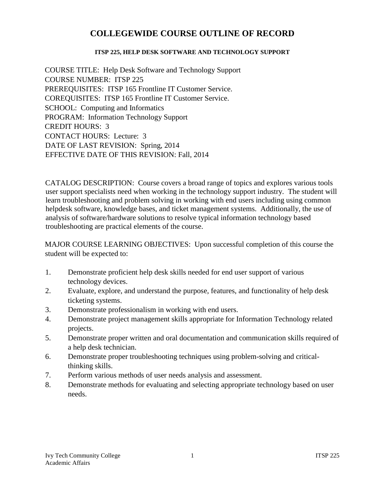# **COLLEGEWIDE COURSE OUTLINE OF RECORD**

#### **ITSP 225, HELP DESK SOFTWARE AND TECHNOLOGY SUPPORT**

COURSE TITLE: Help Desk Software and Technology Support COURSE NUMBER: ITSP 225 PREREQUISITES: ITSP 165 Frontline IT Customer Service. COREQUISITES: ITSP 165 Frontline IT Customer Service. SCHOOL: Computing and Informatics PROGRAM: Information Technology Support CREDIT HOURS: 3 CONTACT HOURS: Lecture: 3 DATE OF LAST REVISION: Spring, 2014 EFFECTIVE DATE OF THIS REVISION: Fall, 2014

CATALOG DESCRIPTION: Course covers a broad range of topics and explores various tools user support specialists need when working in the technology support industry. The student will learn troubleshooting and problem solving in working with end users including using common helpdesk software, knowledge bases, and ticket management systems. Additionally, the use of analysis of software/hardware solutions to resolve typical information technology based troubleshooting are practical elements of the course.

MAJOR COURSE LEARNING OBJECTIVES: Upon successful completion of this course the student will be expected to:

- 1. Demonstrate proficient help desk skills needed for end user support of various technology devices.
- 2. Evaluate, explore, and understand the purpose, features, and functionality of help desk ticketing systems.
- 3. Demonstrate professionalism in working with end users.
- 4. Demonstrate project management skills appropriate for Information Technology related projects.
- 5. Demonstrate proper written and oral documentation and communication skills required of a help desk technician.
- 6. Demonstrate proper troubleshooting techniques using problem-solving and criticalthinking skills.
- 7. Perform various methods of user needs analysis and assessment.
- 8. Demonstrate methods for evaluating and selecting appropriate technology based on user needs.